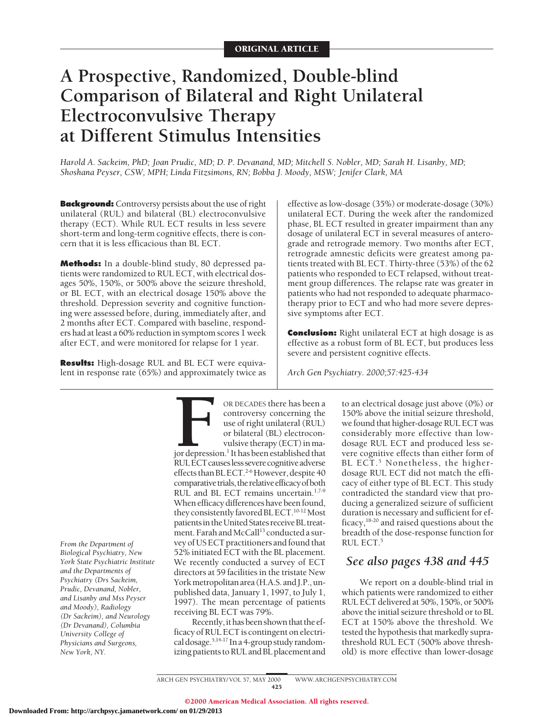# **A Prospective, Randomized, Double-blind Comparison of Bilateral and Right Unilateral Electroconvulsive Therapy at Different Stimulus Intensities**

*Harold A. Sackeim, PhD; Joan Prudic, MD; D. P. Devanand, MD; Mitchell S. Nobler, MD; Sarah H. Lisanby, MD; Shoshana Peyser, CSW, MPH; Linda Fitzsimons, RN; Bobba J. Moody, MSW; Jenifer Clark, MA*

**Background:**Controversy persists about the use of right unilateral (RUL) and bilateral (BL) electroconvulsive therapy (ECT). While RUL ECT results in less severe short-term and long-term cognitive effects, there is concern that it is less efficacious than BL ECT.

**Methods:** In a double-blind study, 80 depressed patients were randomized to RUL ECT, with electrical dosages 50%, 150%, or 500% above the seizure threshold, or BL ECT, with an electrical dosage 150% above the threshold. Depression severity and cognitive functioning were assessed before, during, immediately after, and 2 months after ECT. Compared with baseline, responders had at least a 60% reduction in symptom scores 1 week after ECT, and were monitored for relapse for 1 year.

**Results:** High-dosage RUL and BL ECT were equivalent in response rate (65%) and approximately twice as effective as low-dosage (35%) or moderate-dosage (30%) unilateral ECT. During the week after the randomized phase, BL ECT resulted in greater impairment than any dosage of unilateral ECT in several measures of anterograde and retrograde memory. Two months after ECT, retrograde amnestic deficits were greatest among patients treated with BL ECT. Thirty-three (53%) of the 62 patients who responded to ECT relapsed, without treatment group differences. The relapse rate was greater in patients who had not responded to adequate pharmacotherapy prior to ECT and who had more severe depressive symptoms after ECT.

**Conclusion:** Right unilateral ECT at high dosage is as effective as a robust form of BL ECT, but produces less severe and persistent cognitive effects.

*Arch Gen Psychiatry. 2000;57:425-434*

*From the Department of Biological Psychiatry, New York State Psychiatric Institute and the Departments of Psychiatry (Drs Sackeim, Prudic, Devanand, Nobler, and Lisanby and Mss Peyser and Moody), Radiology (Dr Sackeim), and Neurology (Dr Devanand), Columbia University College of Physicians and Surgeons, New York, NY.*

OR DECADES there has been a<br>controversy concerning the<br>use of right unilateral (RUL)<br>or bilateral (BL) electrocon-<br>vulsive therapy (ECT) in ma-<br>jor depression.<sup>1</sup> It has been established that<br>RULECT causes less severe cogn controversy concerning the use of right unilateral (RUL) or bilateral (BL) electroconvulsive therapy (ECT) in major depression.<sup>1</sup> It has been established that RULECT causes less severe cognitive adverse effects than BLECT.<sup>2-6</sup> However, despite 40 comparative trials, the relative efficacy of both RUL and BL ECT remains uncertain.<sup>1,7-9</sup> When efficacy differences have been found, they consistently favored BLECT.<sup>10-12</sup> Most patients in the United States receive BL treatment. Farah and McCall<sup>13</sup> conducted a survey of US ECT practitioners and found that 52% initiated ECT with the BL placement. We recently conducted a survey of ECT directors at 59 facilities in the tristate New York metropolitan area (H.A.S. and J.P., unpublished data, January 1, 1997, to July 1, 1997). The mean percentage of patients receiving BL ECT was 79%.

Recently, it has been shown that the efficacy of RUL ECT is contingent on electrical dosage.<sup>5,14-17</sup> In a 4-group study randomizing patients to RUL and BL placement and to an electrical dosage just above (0%) or 150% above the initial seizure threshold, we found that higher-dosage RUL ECT was considerably more effective than lowdosage RUL ECT and produced less severe cognitive effects than either form of BL ECT.<sup>5</sup> Nonetheless, the higherdosage RUL ECT did not match the efficacy of either type of BL ECT. This study contradicted the standard view that producing a generalized seizure of sufficient duration is necessary and sufficient for efficacy,18-20 and raised questions about the breadth of the dose-response function for RUL ECT.5

# *See also pages 438 and 445*

We report on a double-blind trial in which patients were randomized to either RUL ECT delivered at 50%, 150%, or 500% above the initial seizure threshold or to BL ECT at 150% above the threshold. We tested the hypothesis that markedly suprathreshold RUL ECT (500% above threshold) is more effective than lower-dosage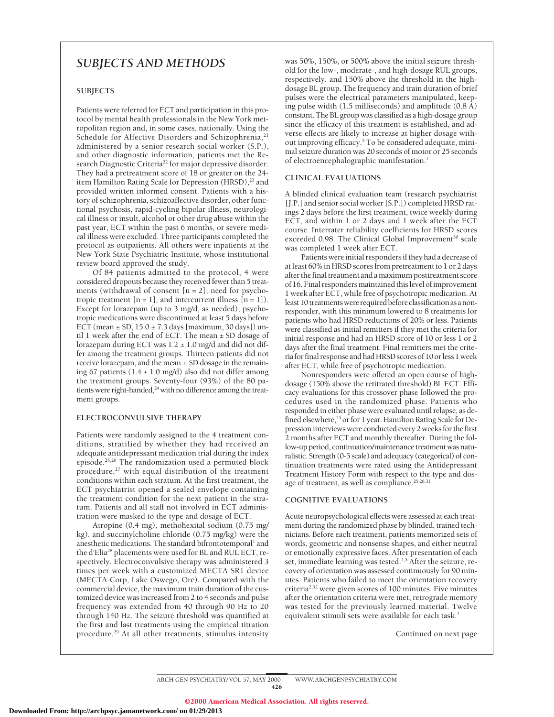# *SUBJECTS AND METHODS*

#### **SUBJECTS**

Patients were referred for ECT and participation in this protocol by mental health professionals in the New York metropolitan region and, in some cases, nationally. Using the Schedule for Affective Disorders and Schizophrenia,<sup>21</sup> administered by a senior research social worker (S.P.), and other diagnostic information, patients met the Research Diagnostic Criteria<sup>22</sup> for major depressive disorder. They had a pretreatment score of 18 or greater on the 24 item Hamilton Rating Scale for Depression (HRSD),<sup>23</sup> and provided written informed consent. Patients with a history of schizophrenia, schizoaffective disorder, other functional psychosis, rapid-cycling bipolar illness, neurological illness or insult, alcohol or other drug abuse within the past year, ECT within the past 6 months, or severe medical illness were excluded. Three participants completed the protocol as outpatients. All others were inpatients at the New York State Psychiatric Institute, whose institutional review board approved the study.

Of 84 patients admitted to the protocol, 4 were considered dropouts because they received fewer than 5 treatments (withdrawal of consent  $[n = 2]$ , need for psychotropic treatment  $[n = 1]$ , and intercurrent illness  $[n = 1]$ ). Except for lorazepam (up to 3 mg/d, as needed), psychotropic medications were discontinued at least 5 days before ECT (mean  $\pm$  SD, 15.0  $\pm$  7.3 days [maximum, 30 days]) until 1 week after the end of ECT. The mean ± SD dosage of lorazepam during ECT was  $1.2 \pm 1.0$  mg/d and did not differ among the treatment groups. Thirteen patients did not receive lorazepam, and the mean ± SD dosage in the remaining 67 patients  $(1.4 \pm 1.0 \text{ mg/d})$  also did not differ among the treatment groups. Seventy-four (93%) of the 80 patients were right-handed,<sup>24</sup> with no difference among the treatment groups.

#### **ELECTROCONVULSIVE THERAPY**

Patients were randomly assigned to the 4 treatment conditions, stratified by whether they had received an adequate antidepressant medication trial during the index episode.25,26 The randomization used a permuted block procedure, $27$  with equal distribution of the treatment conditions within each stratum. At the first treatment, the ECT psychiatrist opened a sealed envelope containing the treatment condition for the next patient in the stratum. Patients and all staff not involved in ECT administration were masked to the type and dosage of ECT.

Atropine (0.4 mg), methohexital sodium (0.75 mg/ kg), and succinylcholine chloride (0.75 mg/kg) were the anesthetic medications. The standard bifrontotemporal<sup>1</sup> and the d'Elia28 placements were used for BL and RUL ECT, respectively. Electroconvulsive therapy was administered 3 times per week with a customized MECTA SR1 device (MECTA Corp, Lake Oswego, Ore). Compared with the commercial device, the maximum train duration of the customized device was increased from 2 to 4 seconds and pulse frequency was extended from 40 through 90 Hz to 20 through 140 Hz. The seizure threshold was quantified at the first and last treatments using the empirical titration procedure.29 At all other treatments, stimulus intensity was 50%, 150%, or 500% above the initial seizure threshold for the low-, moderate-, and high-dosage RUL groups, respectively, and 150% above the threshold in the highdosage BL group. The frequency and train duration of brief pulses were the electrical parameters manipulated, keeping pulse width (1.5 milliseconds) and amplitude (0.8 A) constant. The BL group was classified as a high-dosage group since the efficacy of this treatment is established, and adverse effects are likely to increase at higher dosage without improving efficacy.5 To be considered adequate, minimal seizure duration was 20 seconds of motor or 25 seconds of electroencephalographic manifestation.<sup>1</sup>

## **CLINICAL EVALUATIONS**

A blinded clinical evaluation team (research psychiatrist [J.P.] and senior social worker [S.P.]) completed HRSD ratings 2 days before the first treatment, twice weekly during ECT, and within 1 or 2 days and 1 week after the ECT course. Interrater reliability coefficients for HRSD scores exceeded 0.98. The Clinical Global Improvement<sup>30</sup> scale was completed 1 week after ECT.

Patients were initial responders if they had a decrease of at least 60% in HRSD scores from pretreatment to 1 or 2 days after the final treatment and a maximum posttreatment score of 16. Final responders maintained this level of improvement 1 week after ECT, while free of psychotropic medication. At least 10 treatments were required before classification as a nonresponder, with this minimum lowered to 8 treatments for patients who had HRSD reductions of 20% or less. Patients were classified as initial remitters if they met the criteria for initial response and had an HRSD score of 10 or less 1 or 2 days after the final treatment. Final remitters met the criteria for final response and had HRSD scores of 10 or less 1 week after ECT, while free of psychotropic medication.

Nonresponders were offered an open course of highdosage (150% above the retitrated threshold) BL ECT. Efficacy evaluations for this crossover phase followed the procedures used in the randomized phase. Patients who responded in either phase were evaluated until relapse, as defined elsewhere,<sup>25</sup> or for 1 year. Hamilton Rating Scale for Depression interviews were conducted every 2 weeks for the first 2 months after ECT and monthly thereafter. During the follow-up period, continuation/maintenance treatment was naturalistic. Strength (0-5 scale) and adequacy (categorical) of continuation treatments were rated using the Antidepressant Treatment History Form with respect to the type and dosage of treatment, as well as compliance.<sup>25,26,31</sup>

#### **COGNITIVE EVALUATIONS**

Acute neuropsychological effects were assessed at each treatment during the randomized phase by blinded, trained technicians. Before each treatment, patients memorized sets of words, geometric and nonsense shapes, and either neutral or emotionally expressive faces. After presentation of each set, immediate learning was tested.<sup>2,5</sup> After the seizure, recovery of orientation was assessed continuously for 90 minutes. Patients who failed to meet the orientation recovery criteria2,32 were given scores of 100 minutes. Five minutes after the orientation criteria were met, retrograde memory was tested for the previously learned material. Twelve equivalent stimuli sets were available for each task.<sup>2</sup>

Continued on next page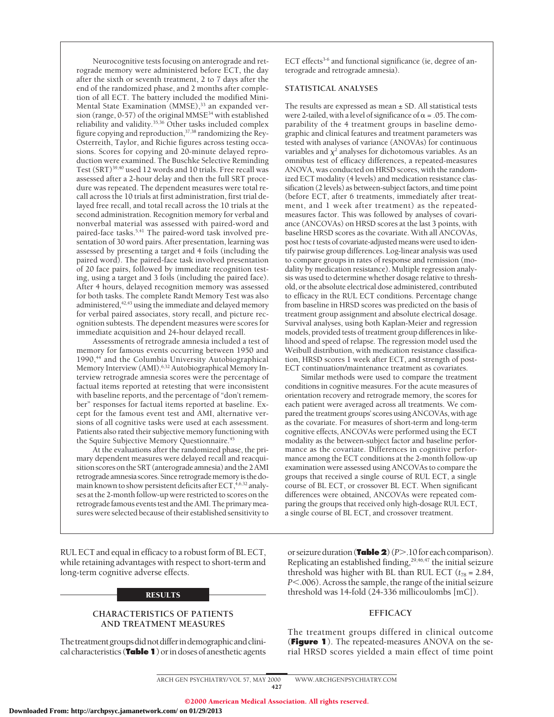Neurocognitive tests focusing on anterograde and retrograde memory were administered before ECT, the day after the sixth or seventh treatment, 2 to 7 days after the end of the randomized phase, and 2 months after completion of all ECT. The battery included the modified Mini-Mental State Examination (MMSE),<sup>33</sup> an expanded version (range, 0-57) of the original MMSE<sup>34</sup> with established reliability and validity.35,36 Other tasks included complex figure copying and reproduction,37,38 randomizing the Rey-Osterreith, Taylor, and Richie figures across testing occasions. Scores for copying and 20-minute delayed reproduction were examined. The Buschke Selective Reminding Test (SRT)<sup>39,40</sup> used 12 words and 10 trials. Free recall was assessed after a 2-hour delay and then the full SRT procedure was repeated. The dependent measures were total recall across the 10 trials at first administration, first trial delayed free recall, and total recall across the 10 trials at the second administration. Recognition memory for verbal and nonverbal material was assessed with paired-word and paired-face tasks.<sup>5,41</sup> The paired-word task involved presentation of 30 word pairs. After presentation, learning was assessed by presenting a target and 4 foils (including the paired word). The paired-face task involved presentation of 20 face pairs, followed by immediate recognition testing, using a target and 3 foils (including the paired face). After 4 hours, delayed recognition memory was assessed for both tasks. The complete Randt Memory Test was also administered,  $42,43$  using the immediate and delayed memory for verbal paired associates, story recall, and picture recognition subtests. The dependent measures were scores for immediate acquisition and 24-hour delayed recall.

Assessments of retrograde amnesia included a test of memory for famous events occurring between 1950 and 1990,<sup>44</sup> and the Columbia University Autobiographical Memory Interview (AMI).<sup>6,32</sup> Autobiographical Memory Interview retrograde amnesia scores were the percentage of factual items reported at retesting that were inconsistent with baseline reports, and the percentage of "don't remember" responses for factual items reported at baseline. Except for the famous event test and AMI, alternative versions of all cognitive tasks were used at each assessment. Patients also rated their subjective memory functioning with the Squire Subjective Memory Questionnaire.<sup>45</sup>

At the evaluations after the randomized phase, the primary dependent measures were delayed recall and reacquisition scores on the SRT (anterograde amnesia) and the 2 AMI retrograde amnesia scores. Since retrograde memory is the domain known to show persistent deficits after ECT,<sup>4,6,32</sup> analyses at the 2-month follow-up were restricted to scores on the retrograde famous events test and the AMI. The primary measures were selected because of their established sensitivity to

RUL ECT and equal in efficacy to a robust form of BL ECT, while retaining advantages with respect to short-term and long-term cognitive adverse effects.

#### RESULTS

#### **CHARACTERISTICS OF PATIENTS AND TREATMENT MEASURES**

The treatment groups did not differ in demographic and clinical characteristics (**Table 1**) or in doses of anesthetic agents ECT effects<sup>3-6</sup> and functional significance (ie, degree of anterograde and retrograde amnesia).

# **STATISTICAL ANALYSES**

The results are expressed as mean ± SD. All statistical tests were 2-tailed, with a level of significance of  $\alpha$  = .05. The comparability of the 4 treatment groups in baseline demographic and clinical features and treatment parameters was tested with analyses of variance (ANOVAs) for continuous variables and  $\chi^2$  analyses for dichotomous variables. As an omnibus test of efficacy differences, a repeated-measures ANOVA, was conducted on HRSD scores, with the randomized ECT modality (4 levels) and medication resistance classification (2 levels) as between-subject factors, and time point (before ECT, after 6 treatments, immediately after treatment, and 1 week after treatment) as the repeatedmeasures factor. This was followed by analyses of covariance (ANCOVAs) on HRSD scores at the last 3 points, with baseline HRSD scores as the covariate. With all ANCOVAs, post hoc *t*tests of covariate-adjusted means were used to identify pairwise group differences. Log-linear analysis was used to compare groups in rates of response and remission (modality by medication resistance). Multiple regression analysis was used to determine whether dosage relative to threshold, or the absolute electrical dose administered, contributed to efficacy in the RUL ECT conditions. Percentage change from baseline in HRSD scores was predicted on the basis of treatment group assignment and absolute electrical dosage. Survival analyses, using both Kaplan-Meier and regression models, provided tests of treatment group differences in likelihood and speed of relapse. The regression model used the Weibull distribution, with medication resistance classification, HRSD scores 1 week after ECT, and strength of post-ECT continuation/maintenance treatment as covariates.

Similar methods were used to compare the treatment conditions in cognitive measures. For the acute measures of orientation recovery and retrograde memory, the scores for each patient were averaged across all treatments. We compared the treatment groups' scores using ANCOVAs, with age as the covariate. For measures of short-term and long-term cognitive effects, ANCOVAs were performed using the ECT modality as the between-subject factor and baseline performance as the covariate. Differences in cognitive performance among the ECT conditions at the 2-month follow-up examination were assessed using ANCOVAs to compare the groups that received a single course of RUL ECT, a single course of BL ECT, or crossover BL ECT. When significant differences were obtained, ANCOVAs were repeated comparing the groups that received only high-dosage RUL ECT, a single course of BL ECT, and crossover treatment.

or seizure duration (Table 2) (*P*>.10 for each comparison). Replicating an established finding,<sup>29,46,47</sup> the initial seizure threshold was higher with BL than RUL ECT ( $t_{78}$  = 2.84, *P*<.006). Across the sample, the range of the initial seizure threshold was 14-fold (24-336 millicoulombs [mC]).

#### **EFFICACY**

The treatment groups differed in clinical outcome (**Figure 1**). The repeated-measures ANOVA on the serial HRSD scores yielded a main effect of time point

ARCH GEN PSYCHIATRY/ VOL 57, MAY 2000 WWW.ARCHGENPSYCHIATRY.COM 427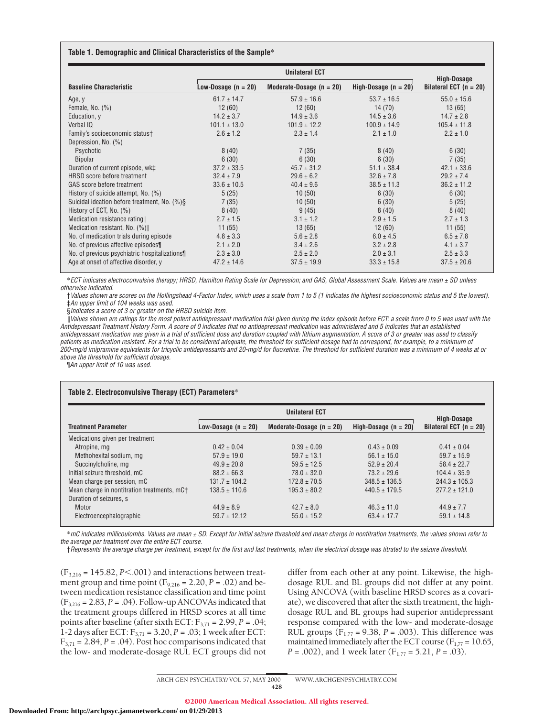#### **Table 1. Demographic and Clinical Characteristics of the Sample**\*

|                                               |                                                                               | High-Dosage<br>Bilateral ECT $(n = 20)$ |                  |                  |
|-----------------------------------------------|-------------------------------------------------------------------------------|-----------------------------------------|------------------|------------------|
| <b>Baseline Characteristic</b>                | Low-Dosage $(n = 20)$<br>Moderate-Dosage $(n = 20)$<br>High-Dosage $(n = 20)$ |                                         |                  |                  |
| Age, y                                        | $61.7 \pm 14.7$                                                               | $57.9 \pm 16.6$                         | $53.7 \pm 16.5$  | $55.0 \pm 15.6$  |
| Female, No. $(\%)$                            | 12(60)                                                                        | 12(60)                                  | 14(70)           | 13(65)           |
| Education, y                                  | $14.2 \pm 3.7$                                                                | $14.9 \pm 3.6$                          | $14.5 \pm 3.6$   | $14.7 \pm 2.8$   |
| Verbal IQ                                     | $101.1 \pm 13.0$                                                              | $101.9 \pm 12.2$                        | $100.9 \pm 14.9$ | $105.4 \pm 11.8$ |
| Family's socioeconomic status†                | $2.6 \pm 1.2$                                                                 | $2.3 \pm 1.4$                           | $2.1 \pm 1.0$    | $2.2 \pm 1.0$    |
| Depression, No. (%)                           |                                                                               |                                         |                  |                  |
| Psychotic                                     | 8(40)                                                                         | 7(35)                                   | 8(40)            | 6(30)            |
| <b>Bipolar</b>                                | 6(30)                                                                         | 6(30)                                   | 6(30)            | 7(35)            |
| Duration of current episode, wk‡              | $37.2 \pm 33.5$                                                               | $45.7 \pm 31.2$                         | $51.1 \pm 38.4$  | $42.1 \pm 33.6$  |
| HRSD score before treatment                   | $32.4 \pm 7.9$                                                                | $29.6 \pm 6.2$                          | $32.6 \pm 7.8$   | $29.2 \pm 7.4$   |
| GAS score before treatment                    | $33.6 \pm 10.5$                                                               | $40.4 \pm 9.6$                          | $38.5 \pm 11.3$  | $36.2 \pm 11.2$  |
| History of suicide attempt, No. (%)           | 5(25)                                                                         | 10(50)                                  | 6(30)            | 6(30)            |
| Suicidal ideation before treatment, No. (%)§  | 7(35)                                                                         | 10(50)                                  | 6(30)            | 5(25)            |
| History of ECT, No. (%)                       | 8(40)                                                                         | 9(45)                                   | 8(40)            | 8(40)            |
| Medication resistance rating                  | $2.7 \pm 1.5$                                                                 | $3.1 \pm 1.2$                           | $2.9 \pm 1.5$    | $2.7 \pm 1.3$    |
| Medication resistant, No. (%)                 | 11(55)                                                                        | 13(65)                                  | 12(60)           | 11(55)           |
| No. of medication trials during episode       | $4.8 \pm 3.3$                                                                 | $5.6 \pm 2.8$                           | $6.0 \pm 4.5$    | $6.5 \pm 7.8$    |
| No. of previous affective episodes¶           | $2.1 \pm 2.0$                                                                 | $3.4 \pm 2.6$                           | $3.2 \pm 2.8$    | $4.1 \pm 3.7$    |
| No. of previous psychiatric hospitalizations¶ | $2.3 \pm 3.0$                                                                 | $2.5 \pm 2.0$                           | $2.0 \pm 3.1$    | $2.5 \pm 3.3$    |
| Age at onset of affective disorder, y         | $47.2 \pm 14.6$                                                               | $37.5 \pm 19.9$                         | $33.3 \pm 15.8$  | $37.5 \pm 20.6$  |

\*ECT indicates electroconvulsive therapy; HRSD, Hamilton Rating Scale for Depression; and GAS, Global Assessment Scale. Values are mean <sup>±</sup> SD unless otherwise indicated.

†Values shown are scores on the Hollingshead 4-Factor Index, which uses <sup>a</sup> scale from 1 to 5 (1 indicates the highest socioeconomic status and 5 the lowest). ‡An upper limit of 104 weeks was used.

§Indicates a score of 3 or greater on the HRSD suicide item.

\Values shown are ratings for the most potent antidepressant medication trial given during the index episode before ECT: <sup>a</sup> scale from 0 to 5 was used with the Antidepressant Treatment History Form. A score of 0 indicates that no antidepressant medication was administered and 5 indicates that an established antidepressant medication was given in <sup>a</sup> trial of sufficient dose and duration coupled with lithium augmentation. A score of 3 or greater was used to classify patients as medication resistant. For <sup>a</sup> trial to be considered adequate, the threshold for sufficient dosage had to correspond, for example, to <sup>a</sup> minimum of 200-mg/d imipramine equivalents for tricyclic antidepressants and 20-mg/d for fluoxetine. The threshold for sufficient duration was <sup>a</sup> minimum of 4 weeks at or above the threshold for sufficient dosage.

¶An upper limit of 10 was used.

#### **Table 2. Electroconvulsive Therapy (ECT) Parameters**\*

|                                             |                       | High-Dosage                |                        |                          |  |
|---------------------------------------------|-----------------------|----------------------------|------------------------|--------------------------|--|
| <b>Treatment Parameter</b>                  | Low-Dosage $(n = 20)$ | Moderate-Dosage $(n = 20)$ | High-Dosage $(n = 20)$ | Bilateral ECT $(n = 20)$ |  |
| Medications given per treatment             |                       |                            |                        |                          |  |
| Atropine, mg                                | $0.42 \pm 0.04$       | $0.39 \pm 0.09$            | $0.43 \pm 0.09$        | $0.41 \pm 0.04$          |  |
| Methohexital sodium, mg                     | $57.9 \pm 19.0$       | $59.7 \pm 13.1$            | $56.1 \pm 15.0$        | $59.7 \pm 15.9$          |  |
| Succinylcholine, mg                         | $49.9 \pm 20.8$       | $59.5 \pm 12.5$            | $52.9 \pm 20.4$        | $58.4 \pm 22.7$          |  |
| Initial seizure threshold, mC               | $88.2 \pm 66.3$       | $78.0 \pm 32.0$            | $73.2 \pm 29.6$        | $104.4 \pm 35.9$         |  |
| Mean charge per session, mC                 | $131.7 \pm 104.2$     | $172.8 \pm 70.5$           | $348.5 \pm 136.5$      | $244.3 \pm 105.3$        |  |
| Mean charge in nontitration treatments, mC+ | $138.5 \pm 110.6$     | $195.3 \pm 80.2$           | $440.5 \pm 179.5$      | $277.2 \pm 121.0$        |  |
| Duration of seizures, s                     |                       |                            |                        |                          |  |
| Motor                                       | $44.9 \pm 8.9$        | $42.7 \pm 8.0$             | $46.3 \pm 11.0$        | $44.9 \pm 7.7$           |  |
| Electroencephalographic                     | $59.7 \pm 12.12$      | $55.0 \pm 15.2$            | $63.4 \pm 17.7$        | $59.1 \pm 14.8$          |  |

\*mC indicates millicoulombs. Values are mean <sup>±</sup> SD. Except for initial seizure threshold and mean charge in nontitration treatments, the values shown refer to the average per treatment over the entire ECT course.

†Represents the average charge per treatment, except for the first and last treatments, when the electrical dosage was titrated to the seizure threshold.

 $(F_{3,216} = 145.82, P<.001)$  and interactions between treatment group and time point  $(F_{9,216} = 2.20, P = .02)$  and between medication resistance classification and time point  $(F_{3,216} = 2.83, P = .04)$ . Follow-up ANCOVAs indicated that the treatment groups differed in HRSD scores at all time points after baseline (after sixth ECT:  $F_{3,71} = 2.99$ ,  $P = .04$ ; 1-2 days after ECT: F3,71 = 3.20, *P* = .03; 1 week after ECT:  $F_{3,71} = 2.84$ ,  $P = .04$ ). Post hoc comparisons indicated that the low- and moderate-dosage RUL ECT groups did not

differ from each other at any point. Likewise, the highdosage RUL and BL groups did not differ at any point. Using ANCOVA (with baseline HRSD scores as a covariate), we discovered that after the sixth treatment, the highdosage RUL and BL groups had superior antidepressant response compared with the low- and moderate-dosage RUL groups ( $F_{1,77} = 9.38$ ,  $P = .003$ ). This difference was maintained immediately after the ECT course ( $F_{1,77} = 10.65$ , *P* = .002), and 1 week later ( $F_{1,77}$  = 5.21, *P* = .03).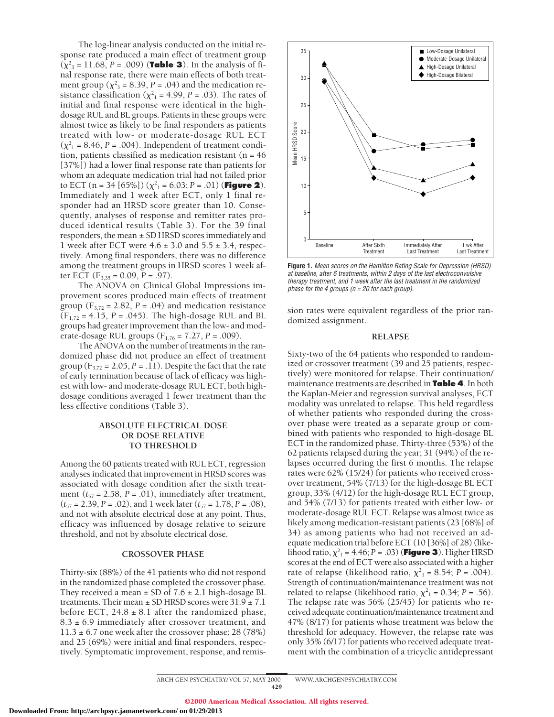The log-linear analysis conducted on the initial response rate produced a main effect of treatment group  $(\chi^2_{3} = 11.68, P = .009)$  (**Table 3**). In the analysis of final response rate, there were main effects of both treatment group ( $\chi^2$ <sub>3</sub> = 8.39, *P* = .04) and the medication resistance classification ( $\chi^2$ <sub>1</sub> = 4.99, *P* = .03). The rates of initial and final response were identical in the highdosage RUL and BL groups. Patients in these groups were almost twice as likely to be final responders as patients treated with low- or moderate-dosage RUL ECT  $(\chi^2) = 8.46$ , *P* = .004). Independent of treatment condition, patients classified as medication resistant (n = 46 [37%]) had a lower final response rate than patients for whom an adequate medication trial had not failed prior to ECT  $(n = 34 [65\%))(\chi^2{}_{1} = 6.03; P = .01)$  (**Figure 2**). Immediately and 1 week after ECT, only 1 final responder had an HRSD score greater than 10. Consequently, analyses of response and remitter rates produced identical results (Table 3). For the 39 final responders, the mean ± SD HRSD scores immediately and 1 week after ECT were  $4.6 \pm 3.0$  and  $5.5 \pm 3.4$ , respectively. Among final responders, there was no difference among the treatment groups in HRSD scores 1 week after ECT  $(F_{3,35} = 0.09, P = .97)$ .

The ANOVA on Clinical Global Impressions improvement scores produced main effects of treatment group  $(F_{3,72} = 2.82, P = .04)$  and medication resistance  $(F_{1,72} = 4.15, P = .045)$ . The high-dosage RUL and BL groups had greater improvement than the low- and moderate-dosage RUL groups (F1,76 = 7.27, *P* = .009).

The ANOVA on the number of treatments in the randomized phase did not produce an effect of treatment group  $(F_{3,72} = 2.05, P = .11)$ . Despite the fact that the rate of early termination because of lack of efficacy was highest with low- and moderate-dosage RUL ECT, both highdosage conditions averaged 1 fewer treatment than the less effective conditions (Table 3).

## **ABSOLUTE ELECTRICAL DOSE OR DOSE RELATIVE TO THRESHOLD**

Among the 60 patients treated with RUL ECT, regression analyses indicated that improvement in HRSD scores was associated with dosage condition after the sixth treatment  $(t_{57} = 2.58, P = .01)$ , immediately after treatment,  $(t_{57} = 2.39, P = .02)$ , and 1 week later  $(t_{57} = 1.78, P = .08)$ , and not with absolute electrical dose at any point. Thus, efficacy was influenced by dosage relative to seizure threshold, and not by absolute electrical dose.

#### **CROSSOVER PHASE**

Thirty-six (88%) of the 41 patients who did not respond in the randomized phase completed the crossover phase. They received a mean  $\pm$  SD of 7.6  $\pm$  2.1 high-dosage BL treatments. Their mean  $\pm$  SD HRSD scores were 31.9  $\pm$  7.1 before ECT,  $24.8 \pm 8.1$  after the randomized phase,  $8.3 \pm 6.9$  immediately after crossover treatment, and 11.3  $\pm$  6.7 one week after the crossover phase; 28 (78%) and 25 (69%) were initial and final responders, respectively. Symptomatic improvement, response, and remis-



**Figure 1.** Mean scores on the Hamilton Rating Scale for Depression (HRSD) at baseline, after 6 treatments, within 2 days of the last electroconvulsive therapy treatment, and 1 week after the last treatment in the randomized phase for the 4 groups ( $n = 20$  for each group).

sion rates were equivalent regardless of the prior randomized assignment.

#### **RELAPSE**

Sixty-two of the 64 patients who responded to randomized or crossover treatment (39 and 25 patients, respectively) were monitored for relapse. Their continuation/ maintenance treatments are described in **Table 4**. In both the Kaplan-Meier and regression survival analyses, ECT modality was unrelated to relapse. This held regardless of whether patients who responded during the crossover phase were treated as a separate group or combined with patients who responded to high-dosage BL ECT in the randomized phase. Thirty-three (53%) of the 62 patients relapsed during the year; 31 (94%) of the relapses occurred during the first 6 months. The relapse rates were 62% (15/24) for patients who received crossover treatment, 54% (7/13) for the high-dosage BL ECT group, 33% (4/12) for the high-dosage RUL ECT group, and 54% (7/13) for patients treated with either low- or moderate-dosage RUL ECT. Relapse was almost twice as likely among medication-resistant patients (23 [68%] of 34) as among patients who had not received an adequate medication trial before ECT (10 [36%] of 28) (like- $\text{lihood ratio}, \chi^2_{\perp} = 4.46; P = .03)$  (**Figure 3**). Higher HRSD scores at the end of ECT were also associated with a higher rate of relapse (likelihood ratio,  $\chi^2$ <sub>1</sub> = 8.54; *P* = .004). Strength of continuation/maintenance treatment was not related to relapse (likelihood ratio,  $\chi^2$ <sub>1</sub> = 0.34; *P* = .56). The relapse rate was 56% (25/45) for patients who received adequate continuation/maintenance treatment and 47% (8/17) for patients whose treatment was below the threshold for adequacy. However, the relapse rate was only 35% (6/17) for patients who received adequate treatment with the combination of a tricyclic antidepressant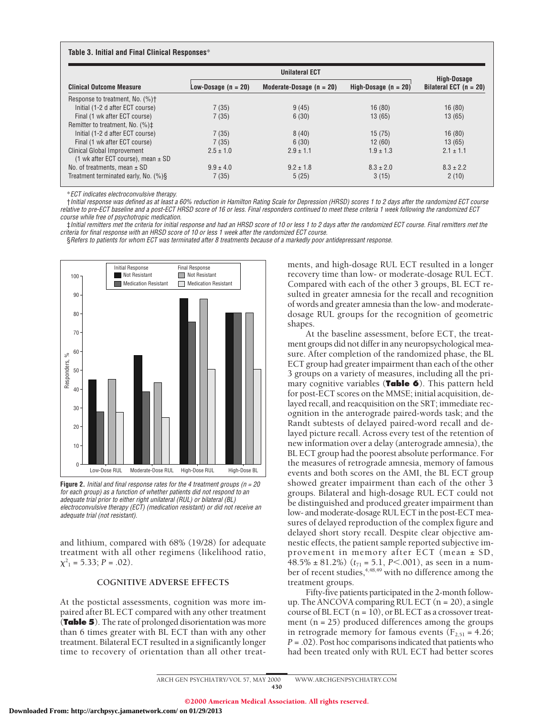#### **Table 3. Initial and Final Clinical Responses**\*

|                                                                              |                       | <b>Unilateral ECT</b>      |                        |                                                |  |  |
|------------------------------------------------------------------------------|-----------------------|----------------------------|------------------------|------------------------------------------------|--|--|
| <b>Clinical Outcome Measure</b>                                              | Low-Dosage $(n = 20)$ | Moderate-Dosage $(n = 20)$ | High-Dosage $(n = 20)$ | <b>High-Dosage</b><br>Bilateral ECT $(n = 20)$ |  |  |
| Response to treatment, No. (%)+                                              |                       |                            |                        |                                                |  |  |
| Initial (1-2 d after ECT course)                                             | 7(35)                 | 9(45)                      | 16(80)                 | 16(80)                                         |  |  |
| Final (1 wk after ECT course)                                                | 7(35)                 | 6(30)                      | 13(65)                 | 13(65)                                         |  |  |
| Remitter to treatment, No. $(%)\ddagger$                                     |                       |                            |                        |                                                |  |  |
| Initial (1-2 d after ECT course)                                             | 7(35)                 | 8(40)                      | 15(75)                 | 16(80)                                         |  |  |
| Final (1 wk after ECT course)                                                | 7(35)                 | 6(30)                      | 12(60)                 | 13(65)                                         |  |  |
| <b>Clinical Global Improvement</b><br>(1 wk after ECT course), mean $\pm$ SD | $2.5 \pm 1.0$         | $2.9 \pm 1.1$              | $1.9 \pm 1.3$          | $2.1 \pm 1.1$                                  |  |  |
| No. of treatments, mean $\pm$ SD                                             | $9.9 \pm 4.0$         | $9.2 \pm 1.8$              | $8.3 \pm 2.0$          | $8.3 \pm 2.2$                                  |  |  |
| Treatment terminated early, No. (%)§                                         | 7(35)                 | 5(25)                      | 3(15)                  | 2(10)                                          |  |  |

\*ECT indicates electroconvulsive therapy.

†Initial response was defined as at least <sup>a</sup> 60% reduction in Hamilton Rating Scale for Depression (HRSD) scores 1 to 2 days after the randomized ECT course relative to pre-ECT baseline and <sup>a</sup> post-ECT HRSD score of 16 or less. Final responders continued to meet these criteria 1 week following the randomized ECT course while free of psychotropic medication.

‡Initial remitters met the criteria for initial response and had an HRSD score of 10 or less 1 to 2 days after the randomized ECT course. Final remitters met the criteria for final response with an HRSD score of 10 or less 1 week after the randomized ECT course.

§Refers to patients for whom ECT was terminated after 8 treatments because of a markedly poor antidepressant response.



**Figure 2.** Initial and final response rates for the 4 treatment groups ( $n = 20$ for each group) as <sup>a</sup> function of whether patients did not respond to an adequate trial prior to either right unilateral (RUL) or bilateral (BL) electroconvulsive therapy (ECT) (medication resistant) or did not receive an adequate trial (not resistant).

and lithium, compared with 68% (19/28) for adequate treatment with all other regimens (likelihood ratio,  $\chi^2_1 = 5.33; P = .02$ .

## **COGNITIVE ADVERSE EFFECTS**

At the postictal assessments, cognition was more impaired after BL ECT compared with any other treatment (**Table 5**). The rate of prolonged disorientation was more than 6 times greater with BL ECT than with any other treatment. Bilateral ECT resulted in a significantly longer time to recovery of orientation than all other treatments, and high-dosage RUL ECT resulted in a longer recovery time than low- or moderate-dosage RUL ECT. Compared with each of the other 3 groups, BL ECT resulted in greater amnesia for the recall and recognition of words and greater amnesia than the low- and moderatedosage RUL groups for the recognition of geometric shapes.

At the baseline assessment, before ECT, the treatment groups did not differ in any neuropsychological measure. After completion of the randomized phase, the BL ECT group had greater impairment than each of the other 3 groups on a variety of measures, including all the primary cognitive variables (**Table 6**). This pattern held for post-ECT scores on the MMSE; initial acquisition, delayed recall, and reacquisition on the SRT; immediate recognition in the anterograde paired-words task; and the Randt subtests of delayed paired-word recall and delayed picture recall. Across every test of the retention of new information over a delay (anterograde amnesia), the BL ECT group had the poorest absolute performance. For the measures of retrograde amnesia, memory of famous events and both scores on the AMI, the BL ECT group showed greater impairment than each of the other 3 groups. Bilateral and high-dosage RUL ECT could not be distinguished and produced greater impairment than low- and moderate-dosage RUL ECT in the post-ECT measures of delayed reproduction of the complex figure and delayed short story recall. Despite clear objective amnestic effects, the patient sample reported subjective improvement in memory after ECT (mean ± SD, 48.5%  $\pm$  81.2%) ( $t_{71}$  = 5.1, *P*<.001), as seen in a number of recent studies,<sup>4,48,49</sup> with no difference among the treatment groups.

Fifty-five patients participated in the 2-month followup. The ANCOVA comparing RUL ECT  $(n = 20)$ , a single course of BL ECT  $(n = 10)$ , or BL ECT as a crossover treatment  $(n = 25)$  produced differences among the groups in retrograde memory for famous events  $(F_{2,51} = 4.26)$ ; *P* = .02). Post hoc comparisons indicated that patients who had been treated only with RUL ECT had better scores

ARCH GEN PSYCHIATRY/ VOL 57, MAY 2000 WWW.ARCHGENPSYCHIATRY.COM 430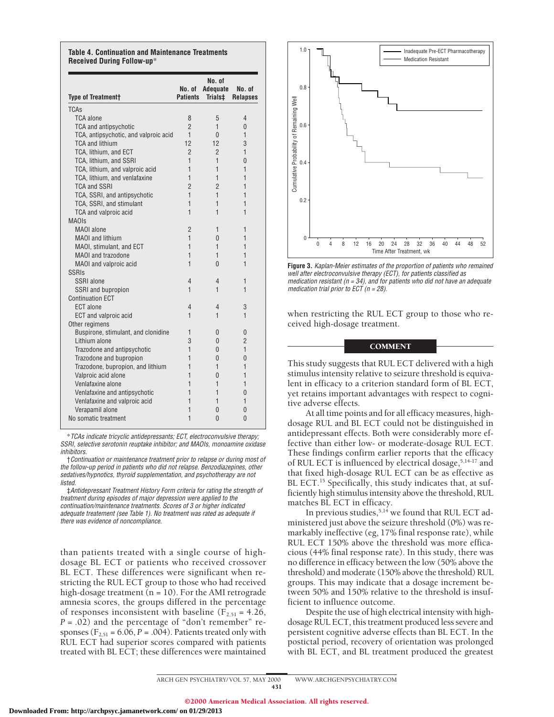**Table 4. Continuation and Maintenance Treatments Received During Follow-up**\*

| <b>Type of Treatment†</b>             | No. of<br><b>Patients</b> | No. of<br>Adequate<br>Trials‡ | No. of<br><b>Relapses</b> |
|---------------------------------------|---------------------------|-------------------------------|---------------------------|
| <b>TCAs</b>                           |                           |                               |                           |
| <b>TCA</b> alone                      | 8                         | 5                             | 4                         |
| TCA and antipsychotic                 | $\overline{2}$            | 1                             | $\mathbf{0}$              |
| TCA, antipsychotic, and valproic acid | $\mathbf{1}$              | $\Omega$                      | 1                         |
| <b>TCA and lithium</b>                | 12                        | 12                            | 3                         |
| TCA, lithium, and ECT                 | 2                         | 2                             | 1                         |
| TCA, lithium, and SSRI                | 1                         | 1                             | $\mathbf{0}$              |
| TCA, lithium, and valproic acid       | $\mathbf{1}$              | 1                             | 1                         |
| TCA, lithium, and venlafaxine         | $\mathbf{1}$              | 1                             | 1                         |
| <b>TCA and SSRI</b>                   | $\overline{2}$            | $\overline{2}$                | 1                         |
| TCA, SSRI, and antipsychotic          | $\mathbf{1}$              | $\mathbf{1}$                  | $\overline{1}$            |
| TCA, SSRI, and stimulant              | $\mathbf{1}$              | $\mathbf{1}$                  | $\overline{1}$            |
| TCA and valproic acid                 | 1                         | 1                             | 1                         |
| <b>MAOIs</b>                          |                           |                               |                           |
| MAOI alone                            | $\overline{2}$            | 1                             | 1                         |
| <b>MAOI</b> and lithium               | 1                         | $\overline{0}$                | 1                         |
| MAOI, stimulant, and ECT              | $\mathbf{1}$              | 1                             | 1                         |
| <b>MAOI</b> and trazodone             | 1                         | 1                             | 1                         |
| MAOI and valproic acid                | $\mathbf{1}$              | $\Omega$                      | 1                         |
| <b>SSRIS</b>                          |                           |                               |                           |
| SSRI alone                            | 4                         | 4                             | 1                         |
| SSRI and bupropion                    | 1                         | 1                             | $\mathbf{1}$              |
| <b>Continuation ECT</b>               |                           |                               |                           |
| ECT alone                             | 4                         | 4                             | 3                         |
| ECT and valproic acid                 | 1                         | 1                             | 1                         |
| Other regimens                        |                           |                               |                           |
| Buspirone, stimulant, and clonidine   | $\mathbf{1}$              | 0                             | $\mathbf{0}$              |
| Lithium alone                         | 3                         | 0                             | $\overline{2}$            |
| Trazodone and antipsychotic           | 1                         | 0                             | 1                         |
| Trazodone and bupropion               | 1                         | 0                             | $\mathbf{0}$              |
| Trazodone, bupropion, and lithium     | 1                         | 1                             | 1                         |
| Valproic acid alone                   | $\mathbf{1}$              | 0                             | 1                         |
| Venlafaxine alone                     | $\mathbf{1}$              | 1                             | 1                         |
| Venlafaxine and antipsychotic         | $\mathbf{1}$              | $\overline{1}$                | $\Omega$                  |
| Venlafaxine and valproic acid         | $\mathbf{1}$              | 1                             | 1                         |
| Verapamil alone                       | 1                         | 0                             | 0                         |
| No somatic treatment                  | 1                         | 0                             | 0                         |

\*TCAs indicate tricyclic antidepressants; ECT, electroconvulsive therapy; SSRI, selective serotonin reuptake inhibitor; and MAOIs, monoamine oxidase inhibitors.

†Continuation or maintenance treatment prior to relapse or during most of the follow-up period in patients who did not relapse. Benzodiazepines, other sedatives/hypnotics, thyroid supplementation, and psychotherapy are not listed.

‡Antidepressant Treatment History Form criteria for rating the strength of treatment during episodes of major depression were applied to the continuation/maintenance treatments. Scores of 3 or higher indicated adequate treatement (see Table 1). No treatment was rated as adequate if there was evidence of noncompliance.

than patients treated with a single course of highdosage BL ECT or patients who received crossover BL ECT. These differences were significant when restricting the RUL ECT group to those who had received high-dosage treatment  $(n = 10)$ . For the AMI retrograde amnesia scores, the groups differed in the percentage of responses inconsistent with baseline  $(F_{2,51} = 4.26)$ , *P* = .02) and the percentage of "don't remember" responses ( $F_{2,51}$  = 6.06, *P* = .004). Patients treated only with RUL ECT had superior scores compared with patients treated with BL ECT; these differences were maintained



**Figure 3.** Kaplan-Meier estimates of the proportion of patients who remained well after electroconvulsive therapy (ECT), for patients classified as medication resistant ( $n = 34$ ), and for patients who did not have an adequate medication trial prior to  $ECT$  (n = 28).

when restricting the RUL ECT group to those who received high-dosage treatment.

#### **COMMENT**

This study suggests that RUL ECT delivered with a high stimulus intensity relative to seizure threshold is equivalent in efficacy to a criterion standard form of BL ECT, yet retains important advantages with respect to cognitive adverse effects.

At all time points and for all efficacy measures, highdosage RUL and BL ECT could not be distinguished in antidepressant effects. Both were considerably more effective than either low- or moderate-dosage RUL ECT. These findings confirm earlier reports that the efficacy of RUL ECT is influenced by electrical dosage,<sup>5,14-17</sup> and that fixed high-dosage RUL ECT can be as effective as BL ECT.<sup>15</sup> Specifically, this study indicates that, at sufficiently high stimulus intensity above the threshold, RUL matches BL ECT in efficacy.

In previous studies,  $5,14$  we found that RUL ECT administered just above the seizure threshold (0%) was remarkably ineffective (eg, 17% final response rate), while RUL ECT 150% above the threshold was more efficacious (44% final response rate). In this study, there was no difference in efficacy between the low (50% above the threshold) and moderate (150% above the threshold) RUL groups. This may indicate that a dosage increment between 50% and 150% relative to the threshold is insufficient to influence outcome.

Despite the use of high electrical intensity with highdosage RUL ECT, this treatment produced less severe and persistent cognitive adverse effects than BL ECT. In the postictal period, recovery of orientation was prolonged with BL ECT, and BL treatment produced the greatest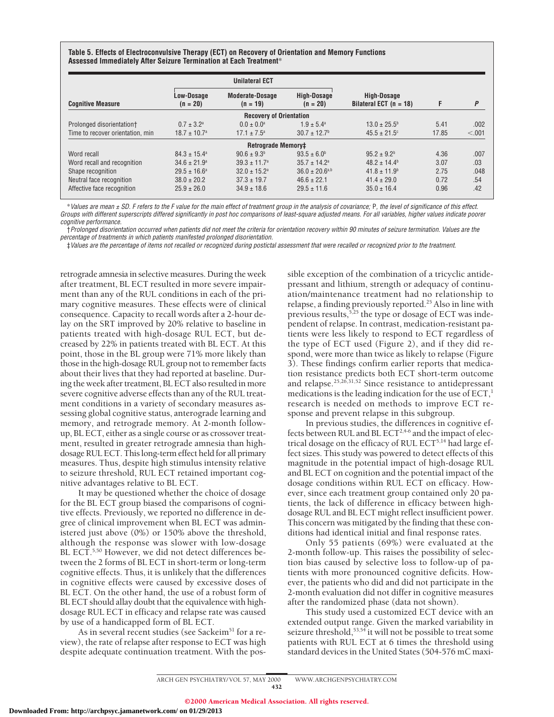**Table 5. Effects of Electroconvulsive Therapy (ECT) on Recovery of Orientation and Memory Functions Assessed Immediately After Seizure Termination at Each Treatment**\*

|                                  | <b>Unilateral ECT</b>    |                                      |                                  |                                                |       |        |
|----------------------------------|--------------------------|--------------------------------------|----------------------------------|------------------------------------------------|-------|--------|
| <b>Cognitive Measure</b>         | Low-Dosage<br>$(n = 20)$ | <b>Moderate-Dosage</b><br>$(n = 19)$ | <b>High-Dosage</b><br>$(n = 20)$ | <b>High-Dosage</b><br>Bilateral ECT $(n = 18)$ | F     | P      |
|                                  |                          | <b>Recovery of Orientation</b>       |                                  |                                                |       |        |
| Prolonged disorientation+        | $0.7 \pm 3.2^{\text{a}}$ | $0.0 \pm 0.0^a$                      | $1.9 \pm 5.4^{\circ}$            | $13.0 \pm 25.5^{\circ}$                        | 5.41  | .002   |
| Time to recover orientation, min | $18.7 \pm 10.7^a$        | $17.1 \pm 7.5^{\circ}$               | $30.7 \pm 12.7$ <sup>b</sup>     | $45.5 \pm 21.5$ <sup>c</sup>                   | 17.85 | < 0.01 |
|                                  |                          | <b>Retrograde Memory#</b>            |                                  |                                                |       |        |
| Word recall                      | $84.3 \pm 15.4^{\circ}$  | $90.6 \pm 9.3^{\circ}$               | $93.5 \pm 6.0^{\circ}$           | $95.2 \pm 9.2^b$                               | 4.36  | .007   |
| Word recall and recognition      | $34.6 \pm 21.9^{\circ}$  | $39.3 \pm 11.7^{\circ}$              | $35.7 \pm 14.2$ <sup>a</sup>     | $48.2 \pm 14.4$ <sup>b</sup>                   | 3.07  | .03    |
| Shape recognition                | $29.5 \pm 16.6^a$        | $32.0 \pm 15.2^{\circ}$              | $36.0 \pm 20.6^{a,b}$            | $41.8 \pm 11.9^b$                              | 2.75  | .048   |
| Neutral face recognition         | $38.0 \pm 20.2$          | $37.3 \pm 19.7$                      | $46.6 \pm 22.1$                  | $41.4 \pm 29.0$                                | 0.72  | .54    |
| Affective face recognition       | $25.9 \pm 26.0$          | $34.9 \pm 18.6$                      | $29.5 \pm 11.6$                  | $35.0 \pm 16.4$                                | 0.96  | .42    |

\*Values are mean <sup>±</sup> SD. F refers to the F value for the main effect of treatment group in the analysis of covariance; P, the level of significance of this effect. Groups with different superscripts differed significantly in post hoc comparisons of least-square adjusted means. For all variables, higher values indicate poorer cognitive performance.

†Prolonged disorientation occurred when patients did not meet the criteria for orientation recovery within 90 minutes of seizure termination. Values are the percentage of treatments in which patients manifested prolonged disorientation.

‡Values are the percentage of items not recalled or recognized during postictal assessment that were recalled or recognized prior to the treatment.

retrograde amnesia in selective measures. During the week after treatment, BL ECT resulted in more severe impairment than any of the RUL conditions in each of the primary cognitive measures. These effects were of clinical consequence. Capacity to recall words after a 2-hour delay on the SRT improved by 20% relative to baseline in patients treated with high-dosage RUL ECT, but decreased by 22% in patients treated with BL ECT. At this point, those in the BL group were 71% more likely than those in the high-dosage RUL group not to remember facts about their lives that they had reported at baseline. During the week after treatment, BL ECT also resulted in more severe cognitive adverse effects than any of the RUL treatment conditions in a variety of secondary measures assessing global cognitive status, anterograde learning and memory, and retrograde memory. At 2-month followup, BL ECT, either as a single course or as crossover treatment, resulted in greater retrograde amnesia than highdosage RUL ECT. This long-term effect held for all primary measures. Thus, despite high stimulus intensity relative to seizure threshold, RUL ECT retained important cognitive advantages relative to BL ECT.

It may be questioned whether the choice of dosage for the BL ECT group biased the comparisons of cognitive effects. Previously, we reported no difference in degree of clinical improvement when BL ECT was administered just above (0%) or 150% above the threshold, although the response was slower with low-dosage BL ECT.<sup>5,50</sup> However, we did not detect differences between the 2 forms of BL ECT in short-term or long-term cognitive effects. Thus, it is unlikely that the differences in cognitive effects were caused by excessive doses of BL ECT. On the other hand, the use of a robust form of BL ECT should allay doubt that the equivalence with highdosage RUL ECT in efficacy and relapse rate was caused by use of a handicapped form of BL ECT.

As in several recent studies (see Sackeim<sup>51</sup> for a review), the rate of relapse after response to ECT was high despite adequate continuation treatment. With the pos-

sible exception of the combination of a tricyclic antidepressant and lithium, strength or adequacy of continuation/maintenance treatment had no relationship to relapse, a finding previously reported.25 Also in line with previous results,<sup>5,25</sup> the type or dosage of ECT was independent of relapse. In contrast, medication-resistant patients were less likely to respond to ECT regardless of the type of ECT used (Figure 2), and if they did respond, were more than twice as likely to relapse (Figure 3). These findings confirm earlier reports that medication resistance predicts both ECT short-term outcome and relapse.<sup>25,26,31,52</sup> Since resistance to antidepressant medications is the leading indication for the use of  $ECT$ ,<sup>1</sup> research is needed on methods to improve ECT response and prevent relapse in this subgroup.

In previous studies, the differences in cognitive effects between RUL and BL ECT<sup>2,4-6</sup> and the impact of electrical dosage on the efficacy of RUL ECT<sup>5,14</sup> had large effect sizes. This study was powered to detect effects of this magnitude in the potential impact of high-dosage RUL and BL ECT on cognition and the potential impact of the dosage conditions within RUL ECT on efficacy. However, since each treatment group contained only 20 patients, the lack of difference in efficacy between highdosage RUL and BL ECT might reflect insufficient power. This concern was mitigated by the finding that these conditions had identical initial and final response rates.

Only 55 patients (69%) were evaluated at the 2-month follow-up. This raises the possibility of selection bias caused by selective loss to follow-up of patients with more pronounced cognitive deficits. However, the patients who did and did not participate in the 2-month evaluation did not differ in cognitive measures after the randomized phase (data not shown).

This study used a customized ECT device with an extended output range. Given the marked variability in seizure threshold,<sup>53,54</sup> it will not be possible to treat some patients with RUL ECT at 6 times the threshold using standard devices in the United States (504-576 mC maxi-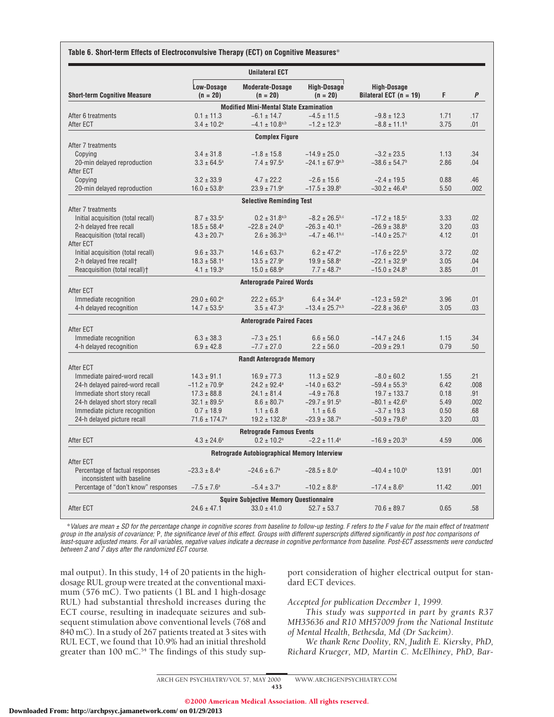|                                                               | <b>Unilateral ECT</b>                           |                                                     |                                                  |                                         |              |             |
|---------------------------------------------------------------|-------------------------------------------------|-----------------------------------------------------|--------------------------------------------------|-----------------------------------------|--------------|-------------|
| <b>Short-term Cognitive Measure</b>                           | Low-Dosage<br>$(n = 20)$                        | <b>Moderate-Dosage</b><br>$(n = 20)$                | <b>High-Dosage</b><br>$(n = 20)$                 | High-Dosage<br>Bilateral ECT $(n = 19)$ | F            | P           |
|                                                               |                                                 | <b>Modified Mini-Mental State Examination</b>       |                                                  |                                         |              |             |
| After 6 treatments                                            | $0.1 \pm 11.3$                                  | $-6.1 \pm 14.7$                                     | $-4.5 \pm 11.5$                                  | $-9.8 \pm 12.3$                         | 1.71         | .17         |
| After ECT                                                     | $3.4 \pm 10.2^a$                                | $-4.1 \pm 10.8^{a,b}$                               | $-1.2 \pm 12.3$ <sup>a</sup>                     | $-8.8 \pm 11.1$ <sup>b</sup>            | 3.75         | .01         |
|                                                               |                                                 | <b>Complex Figure</b>                               |                                                  |                                         |              |             |
| After 7 treatments                                            |                                                 |                                                     |                                                  |                                         |              |             |
| Copying                                                       | $3.4 \pm 31.8$                                  | $-1.8 \pm 15.8$                                     | $-14.9 \pm 25.0$                                 | $-3.2 \pm 23.5$                         | 1.13         | .34         |
| 20-min delayed reproduction                                   | $3.3 \pm 64.5^a$                                | $7.4 \pm 97.5^{\circ}$                              | $-24.1 \pm 67.9^{a,b}$                           | $-38.6 \pm 54.7$ <sup>b</sup>           | 2.86         | .04         |
| After ECT                                                     |                                                 |                                                     |                                                  |                                         |              |             |
| Copying                                                       | $3.2 \pm 33.9$                                  | $4.7 \pm 22.2$                                      | $-2.6 \pm 15.6$                                  | $-2.4 \pm 19.5$                         | 0.88         | .46         |
| 20-min delayed reproduction                                   | $16.0 \pm 53.8^{\circ}$                         | $23.9 \pm 71.9^a$                                   | $-17.5 \pm 39.8^{\circ}$                         | $-30.2 \pm 46.4^b$                      | 5.50         | .002        |
|                                                               |                                                 | <b>Selective Reminding Test</b>                     |                                                  |                                         |              |             |
| After 7 treatments                                            |                                                 |                                                     |                                                  |                                         |              |             |
| Initial acquisition (total recall)                            | $8.7 \pm 33.5^{\circ}$                          | $0.2 \pm 31.8^{a,b}$                                | $-8.2 \pm 26.5^{b,c}$                            | $-17.2 \pm 18.5$ <sup>c</sup>           | 3.33         | .02         |
| 2-h delayed free recall                                       | $18.5 \pm 58.4^a$                               | $-22.8 \pm 24.0$ <sup>b</sup>                       | $-26.3 \pm 40.1$ <sup>b</sup>                    | $-26.9 \pm 38.8^{\circ}$                | 3.20         | .03         |
| Reacquisition (total recall)                                  | $4.3 \pm 20.7^a$                                | $2.6 \pm 36.3^{a,b}$                                | $-4.7 \pm 46.1^{b,c}$                            | $-14.0 \pm 25.7$ °                      | 4.12         | .01         |
| After ECT<br>Initial acquisition (total recall)               |                                                 |                                                     |                                                  |                                         |              |             |
|                                                               | $9.6 \pm 33.7^a$                                | $14.6 \pm 63.7^a$                                   | $6.2 \pm 47.2^a$                                 | $-17.6 \pm 22.5^{\circ}$                | 3.72         | .02         |
| 2-h delayed free recall <sup>+</sup>                          | $18.3 \pm 58.1^a$                               | $13.5 \pm 27.9^a$                                   | $19.9 \pm 58.8^a$                                | $-22.1 \pm 32.9^{\circ}$                | 3.05         | .04         |
| Reacquisition (total recall)+                                 | $4.1 \pm 19.3^a$                                | $15.0 \pm 68.9^a$                                   | $7.7 \pm 48.7^a$                                 | $-15.0 \pm 24.8$ <sup>b</sup>           | 3.85         | .01         |
| After ECT                                                     |                                                 | <b>Anterograde Paired Words</b>                     |                                                  |                                         |              |             |
| Immediate recognition                                         | $29.0 \pm 60.2^a$                               | $22.2 \pm 65.3^{\circ}$                             | $6.4 \pm 34.4^a$                                 | $-12.3 \pm 59.2^{\circ}$                | 3.96         | .01         |
| 4-h delayed recognition                                       | $14.7 \pm 53.5^{\circ}$                         | $3.5 \pm 47.3^a$                                    | $-13.4 \pm 25.7^{a,b}$                           | $-22.8 \pm 36.6^b$                      | 3.05         | .03         |
|                                                               |                                                 | <b>Anterograde Paired Faces</b>                     |                                                  |                                         |              |             |
| After ECT                                                     |                                                 |                                                     |                                                  |                                         |              |             |
| Immediate recognition                                         | $6.3 \pm 38.3$                                  | $-7.3 \pm 25.1$                                     | $6.6 \pm 56.0$                                   | $-14.7 \pm 24.6$                        | 1.15         | .34         |
| 4-h delayed recognition                                       | $6.9 \pm 42.8$                                  | $-7.7 \pm 27.0$                                     | $2.2 \pm 56.0$                                   | $-20.9 \pm 29.1$                        | 0.79         | .50         |
|                                                               |                                                 | <b>Randt Anterograde Memory</b>                     |                                                  |                                         |              |             |
| After ECT<br>Immediate paired-word recall                     |                                                 |                                                     |                                                  |                                         | 1.55         | .21         |
| 24-h delayed paired-word recall                               | $14.3 \pm 91.1$<br>$-11.2 \pm 70.9^a$           | $16.9 \pm 77.3$<br>$24.2 \pm 92.4^a$                | $11.3 \pm 52.9$<br>$-14.0 \pm 63.2$ <sup>a</sup> | $-8.0 \pm 60.2$<br>$-59.4 \pm 55.3^b$   | 6.42         | .008        |
| Immediate short story recall                                  |                                                 |                                                     |                                                  | $19.7 \pm 133.7$                        | 0.18         | .91         |
|                                                               | $17.3 \pm 88.8$                                 | $24.1 \pm 81.4$                                     | $-4.9 \pm 76.8$                                  |                                         |              |             |
| 24-h delayed short story recall                               | $32.1 \pm 89.5^{\circ}$                         | $8.6 \pm 80.7^a$                                    | $-29.7 \pm 91.5^{\circ}$<br>$1.1 \pm 6.6$        | $-80.1 \pm 42.6^b$<br>$-3.7 \pm 19.3$   | 5.49         | .002<br>.68 |
| Immediate picture recognition<br>24-h delayed picture recall  | $0.7 \pm 18.9$<br>$71.6 \pm 174.7$ <sup>a</sup> | $1.1 \pm 6.8$<br>$19.2 \pm 132.8^a$                 | $-23.9 \pm 38.7^a$                               | $-50.9 \pm 79.6^{\rm b}$                | 0.50<br>3.20 | .03         |
|                                                               |                                                 |                                                     |                                                  |                                         |              |             |
| After ECT                                                     | $4.3 \pm 24.6^a$                                | <b>Retrograde Famous Events</b><br>$0.2 \pm 10.2^a$ | $-2.2 \pm 11.4^a$                                | $-16.9 \pm 20.3$ <sup>b</sup>           | 4.59         | .006        |
|                                                               |                                                 |                                                     |                                                  |                                         |              |             |
| After ECT                                                     |                                                 | Retrograde Autobiographical Memory Interview        |                                                  |                                         |              |             |
|                                                               |                                                 | $-24.6 \pm 6.7$ <sup>a</sup>                        | $-28.5 \pm 8.0^a$                                | $-40.4 \pm 10.0$ <sup>b</sup>           | 13.91        | .001        |
| Percentage of factual responses<br>inconsistent with baseline | $-23.3 \pm 8.4^a$                               |                                                     |                                                  |                                         |              |             |
| Percentage of "don't know" responses                          | $-7.5 \pm 7.6^a$                                | $-5.4 \pm 3.7^a$                                    | $-10.2 \pm 8.8$ <sup>a</sup>                     | $-17.4 \pm 8.6^b$                       | 11.42        | .001        |
|                                                               |                                                 |                                                     |                                                  |                                         |              |             |
|                                                               |                                                 | <b>Squire Subjective Memory Questionnaire</b>       |                                                  |                                         |              |             |
| After ECT                                                     | $24.6 \pm 47.1$                                 | $33.0 \pm 41.0$                                     | $52.7 \pm 53.7$                                  | $70.6 \pm 89.7$                         | 0.65         | .58         |

\*Values are mean <sup>±</sup> SD for the percentage change in cognitive scores from baseline to follow-up testing. F refers to the F value for the main effect of treatment group in the analysis of covariance; P, the significance level of this effect. Groups with different superscripts differed significantly in post hoc comparisons of least-square adjusted means. For all variables, negative values indicate <sup>a</sup> decrease in cognitive performance from baseline. Post-ECT assessments were conducted between 2 and 7 days after the randomized ECT course.

mal output). In this study, 14 of 20 patients in the highdosage RUL group were treated at the conventional maximum (576 mC). Two patients (1 BL and 1 high-dosage RUL) had substantial threshold increases during the ECT course, resulting in inadequate seizures and subsequent stimulation above conventional levels (768 and 840 mC). In a study of 267 patients treated at 3 sites with RUL ECT, we found that 10.9% had an initial threshold greater than  $100 \text{ mC}$ .<sup>54</sup> The findings of this study support consideration of higher electrical output for standard ECT devices.

*Accepted for publication December 1, 1999.*

*This study was supported in part by grants R37 MH35636 and R10 MH57009 from the National Institute of Mental Health, Bethesda, Md (Dr Sackeim).*

*We thank Rene Doolity, RN, Judith E. Kiersky, PhD, Richard Krueger, MD, Martin C. McElhiney, PhD, Bar-*